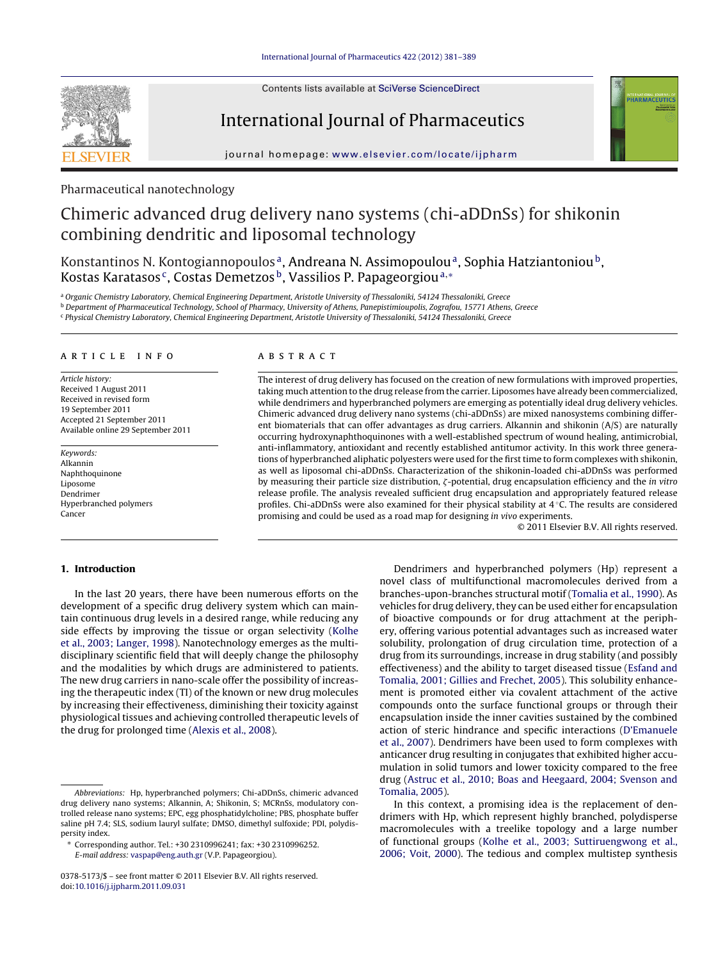Contents lists available at SciVerse [ScienceDirect](http://www.sciencedirect.com/science/journal/03785173)



International Journal of Pharmaceutics



iournal homepage: www.elsevier.com/locate/iipharm

# Pharmaceutical nanotechnology

# Chimeric advanced drug delivery nano systems (chi-aDDnSs) for shikonin combining dendritic and liposomal technology

Konstantinos N. Kontogiannopoulos<sup>a</sup>, Andreana N. Assimopoulou<sup>a</sup>, Sophia Hatziantoniou<sup>b</sup>, Kostas Karatasos<sup>c</sup>, Costas Demetzos<sup>b</sup>, Vassilios P. Papageorgiou<sup>a,∗</sup>

a Organic Chemistry Laboratory, Chemical Engineering Department, Aristotle University of Thessaloniki, 54124 Thessaloniki, Greece

**b Department of Pharmaceutical Technology, School of Pharmacy, University of Athens, Panepistimioupolis, Zografou, 15771 Athens, Greece** 

<sup>c</sup> Physical Chemistry Laboratory, Chemical Engineering Department, Aristotle University of Thessaloniki, 54124 Thessaloniki, Greece

#### ARTICLE INFO

Article history: Received 1 August 2011 Received in revised form 19 September 2011 Accepted 21 September 2011 Available online 29 September 2011

Keywords: Alkannin Naphthoquinone Liposome Dendrimer Hyperbranched polymers Cancer

# A B S T R A C T

The interest of drug delivery has focused on the creation of new formulations with improved properties, taking much attention to the drug release from the carrier. Liposomes have already been commercialized, while dendrimers and hyperbranched polymers are emerging as potentially ideal drug delivery vehicles. Chimeric advanced drug delivery nano systems (chi-aDDnSs) are mixed nanosystems combining different biomaterials that can offer advantages as drug carriers. Alkannin and shikonin (A/S) are naturally occurring hydroxynaphthoquinones with a well-established spectrum of wound healing, antimicrobial, anti-inflammatory, antioxidant and recently established antitumor activity. In this work three generations of hyperbranched aliphatic polyesters were used for the first time to form complexes with shikonin, as well as liposomal chi-aDDnSs. Characterization of the shikonin-loaded chi-aDDnSs was performed by measuring their particle size distribution,  $\zeta$ -potential, drug encapsulation efficiency and the in vitro release profile. The analysis revealed sufficient drug encapsulation and appropriately featured release profiles. Chi-aDDnSs were also examined for their physical stability at 4 ◦C. The results are considered promising and could be used as a road map for designing in vivo experiments.

© 2011 Elsevier B.V. All rights reserved.

# **1. Introduction**

In the last 20 years, there have been numerous efforts on the development of a specific drug delivery system which can maintain continuous drug levels in a desired range, while reducing any side effects by improving the tissue or organ selectivity [\(Kolhe](#page-7-0) et [al.,](#page-7-0) [2003;](#page-7-0) [Langer,](#page-7-0) [1998\).](#page-7-0) Nanotechnology emerges as the multidisciplinary scientific field that will deeply change the philosophy and the modalities by which drugs are administered to patients. The new drug carriers in nano-scale offer the possibility of increasing the therapeutic index (TI) of the known or new drug molecules by increasing their effectiveness, diminishing their toxicity against physiological tissues and achieving controlled therapeutic levels of the drug for prolonged time ([Alexis](#page-7-0) et [al.,](#page-7-0) [2008\).](#page-7-0)

Dendrimers and hyperbranched polymers (Hp) represent a novel class of multifunctional macromolecules derived from a branches-upon-branches structural motif [\(Tomalia](#page-8-0) et [al.,](#page-8-0) [1990\).](#page-8-0) As vehicles for drug delivery, they can be used either for encapsulation of bioactive compounds or for drug attachment at the periphery, offering various potential advantages such as increased water solubility, prolongation of drug circulation time, protection of a drug from its surroundings, increase in drug stability (and possibly effectiveness) and the ability to target diseased tissue ([Esfand](#page-7-0) [and](#page-7-0) [Tomalia,](#page-7-0) [2001;](#page-7-0) [Gillies](#page-7-0) [and](#page-7-0) [Frechet,](#page-7-0) [2005\).](#page-7-0) This solubility enhancement is promoted either via covalent attachment of the active compounds onto the surface functional groups or through their encapsulation inside the inner cavities sustained by the combined action of steric hindrance and specific interactions [\(D'Emanuele](#page-7-0) et [al.,](#page-7-0) [2007\).](#page-7-0) Dendrimers have been used to form complexes with anticancer drug resulting in conjugates that exhibited higher accumulation in solid tumors and lower toxicity compared to the free drug ([Astruc](#page-7-0) et [al.,](#page-7-0) [2010;](#page-7-0) [Boas](#page-7-0) [and](#page-7-0) [Heegaard,](#page-7-0) [2004;](#page-7-0) [Svenson](#page-7-0) [and](#page-7-0) [Tomalia,](#page-7-0) [2005\).](#page-7-0)

In this context, a promising idea is the replacement of dendrimers with Hp, which represent highly branched, polydisperse macromolecules with a treelike topology and a large number of functional groups [\(Kolhe](#page-7-0) et [al.,](#page-7-0) [2003;](#page-7-0) [Suttiruengwong](#page-7-0) [et](#page-7-0) [al.,](#page-7-0) [2006;](#page-7-0) [Voit,](#page-7-0) [2000\).](#page-7-0) The tedious and complex multistep synthesis

Abbreviations: Hp, hyperbranched polymers; Chi-aDDnSs, chimeric advanced drug delivery nano systems; Alkannin, A; Shikonin, S; MCRnSs, modulatory controlled release nano systems; EPC, egg phosphatidylcholine; PBS, phosphate buffer saline pH 7.4; SLS, sodium lauryl sulfate; DMSO, dimethyl sulfoxide; PDI, polydispersity index.

<sup>∗</sup> Corresponding author. Tel.: +30 2310996241; fax: +30 2310996252. E-mail address: [vaspap@eng.auth.gr](mailto:vaspap@eng.auth.gr) (V.P. Papageorgiou).

<sup>0378-5173/\$</sup> – see front matter © 2011 Elsevier B.V. All rights reserved. doi:[10.1016/j.ijpharm.2011.09.031](dx.doi.org/10.1016/j.ijpharm.2011.09.031)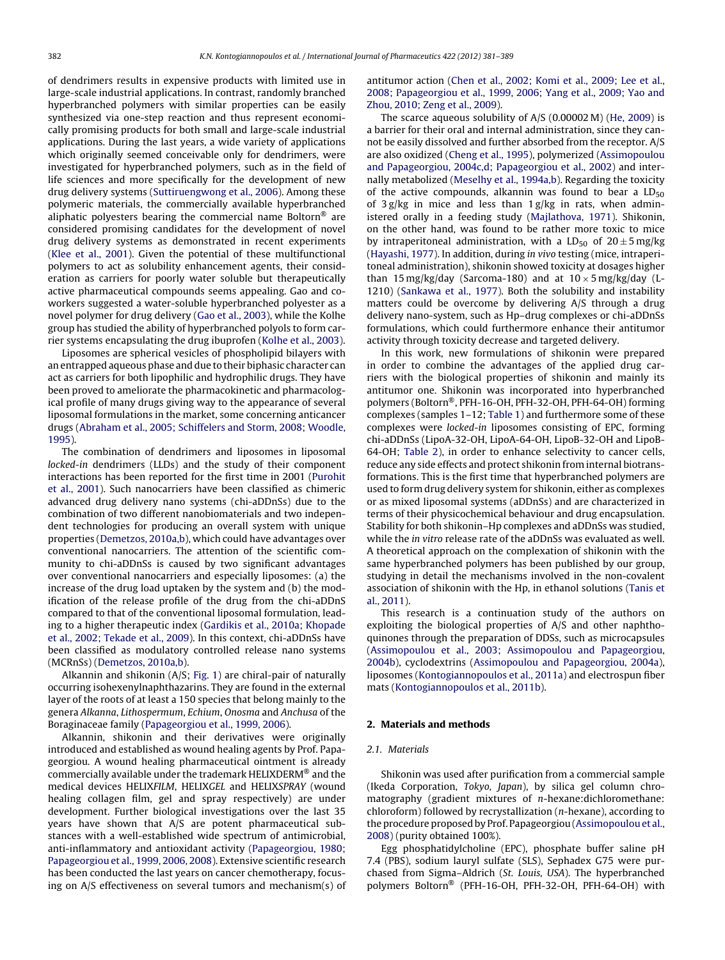of dendrimers results in expensive products with limited use in large-scale industrial applications. In contrast, randomly branched hyperbranched polymers with similar properties can be easily synthesized via one-step reaction and thus represent economically promising products for both small and large-scale industrial applications. During the last years, a wide variety of applications which originally seemed conceivable only for dendrimers, were investigated for hyperbranched polymers, such as in the field of life sciences and more specifically for the development of new drug delivery systems [\(Suttiruengwong](#page-8-0) et [al.,](#page-8-0) [2006\).](#page-8-0) Among these polymeric materials, the commercially available hyperbranched aliphatic polyesters bearing the commercial name Boltorn® are considered promising candidates for the development of novel drug delivery systems as demonstrated in recent experiments ([Klee](#page-7-0) et [al.,](#page-7-0) [2001\).](#page-7-0) Given the potential of these multifunctional polymers to act as solubility enhancement agents, their consideration as carriers for poorly water soluble but therapeutically active pharmaceutical compounds seems appealing. Gao and coworkers suggested a water-soluble hyperbranched polyester as a novel polymer for drug delivery [\(Gao](#page-7-0) et [al.,](#page-7-0) [2003\),](#page-7-0) while the Kolhe group has studied the ability of hyperbranched polyols to form carrier systems encapsulating the drug ibuprofen ([Kolhe](#page-7-0) et [al.,](#page-7-0) [2003\).](#page-7-0)

Liposomes are spherical vesicles of phospholipid bilayers with an entrapped aqueous phase and due to their biphasic character can act as carriers for both lipophilic and hydrophilic drugs. They have been proved to ameliorate the pharmacokinetic and pharmacological profile of many drugs giving way to the appearance of several liposomal formulations in the market, some concerning anticancer drugs ([Abraham](#page-7-0) et [al.,](#page-7-0) [2005;](#page-7-0) [Schiffelers](#page-7-0) [and](#page-7-0) [Storm,](#page-7-0) [2008;](#page-7-0) [Woodle,](#page-7-0) [1995\).](#page-7-0)

The combination of dendrimers and liposomes in liposomal locked-in dendrimers (LLDs) and the study of their component interactions has been reported for the first time in 2001 [\(Purohit](#page-8-0) et [al.,](#page-8-0) [2001\).](#page-8-0) Such nanocarriers have been classified as chimeric advanced drug delivery nano systems (chi-aDDnSs) due to the combination of two different nanobiomaterials and two independent technologies for producing an overall system with unique properties ([Demetzos,](#page-7-0) [2010a,b\),](#page-7-0) which could have advantages over conventional nanocarriers. The attention of the scientific community to chi-aDDnSs is caused by two significant advantages over conventional nanocarriers and especially liposomes: (a) the increase of the drug load uptaken by the system and (b) the modification of the release profile of the drug from the chi-aDDnS compared to that of the conventional liposomal formulation, leading to a higher therapeutic index ([Gardikis](#page-7-0) et [al.,](#page-7-0) [2010a;](#page-7-0) [Khopade](#page-7-0) et [al.,](#page-7-0) [2002;](#page-7-0) [Tekade](#page-7-0) et [al.,](#page-7-0) [2009\).](#page-7-0) In this context, chi-aDDnSs have been classified as modulatory controlled release nano systems (MCRnSs) [\(Demetzos,](#page-7-0) [2010a,b\).](#page-7-0)

Alkannin and shikonin (A/S; [Fig.](#page-2-0) 1) are chiral-pair of naturally occurring isohexenylnaphthazarins. They are found in the external layer of the roots of at least a 150 species that belong mainly to the genera Alkanna, Lithospermum, Echium, Onosma and Anchusa of the Boraginaceae family [\(Papageorgiou](#page-8-0) et [al.,](#page-8-0) [1999,](#page-8-0) [2006\).](#page-8-0)

Alkannin, shikonin and their derivatives were originally introduced and established as wound healing agents by Prof. Papageorgiou. A wound healing pharmaceutical ointment is already commercially available under the trademark HELIXDERM® and the medical devices HELIXFILM, HELIXGEL and HELIXSPRAY (wound healing collagen film, gel and spray respectively) are under development. Further biological investigations over the last 35 years have shown that A/S are potent pharmaceutical substances with a well-established wide spectrum of antimicrobial, anti-inflammatory and antioxidant activity ([Papageorgiou,](#page-8-0) [1980;](#page-8-0) [Papageorgiou](#page-8-0) et [al.,](#page-8-0) [1999,](#page-8-0) [2006,](#page-8-0) [2008\).](#page-8-0) Extensive scientific research has been conducted the last years on cancer chemotherapy, focusing on A/S effectiveness on several tumors and mechanism(s) of antitumor action ([Chen](#page-7-0) et [al.,](#page-7-0) [2002;](#page-7-0) [Komi](#page-7-0) et [al.,](#page-7-0) [2009;](#page-7-0) [Lee](#page-7-0) et [al.,](#page-7-0) [2008;](#page-7-0) [Papageorgiou](#page-7-0) et [al.,](#page-7-0) [1999,](#page-7-0) [2006;](#page-7-0) [Yang](#page-7-0) et [al.,](#page-7-0) [2009;](#page-7-0) [Yao](#page-7-0) [and](#page-7-0) [Zhou,](#page-7-0) [2010;](#page-7-0) [Zeng](#page-7-0) et [al.,](#page-7-0) [2009\).](#page-7-0)

The scarce aqueous solubility of A/S (0.00002 M) ([He,](#page-7-0) [2009\)](#page-7-0) is a barrier for their oral and internal administration, since they cannot be easily dissolved and further absorbed from the receptor. A/S are also oxidized ([Cheng](#page-7-0) et [al.,](#page-7-0) [1995\),](#page-7-0) polymerized [\(Assimopoulou](#page-7-0) [and](#page-7-0) [Papageorgiou,](#page-7-0) [2004c,d;](#page-7-0) [Papageorgiou](#page-7-0) et [al.,](#page-7-0) [2002\)](#page-7-0) and internally metabolized ([Meselhy](#page-7-0) et [al.,](#page-7-0) [1994a,b\).](#page-7-0) Regarding the toxicity of the active compounds, alkannin was found to bear a  $LD_{50}$ of  $3 g/kg$  in mice and less than  $1 g/kg$  in rats, when administered orally in a feeding study ([Majlathova,](#page-7-0) [1971\).](#page-7-0) Shikonin, on the other hand, was found to be rather more toxic to mice by intraperitoneal administration, with a  $LD_{50}$  of  $20 \pm 5$  mg/kg [\(Hayashi,](#page-7-0) [1977\).](#page-7-0) In addition, during in vivo testing (mice, intraperitoneal administration), shikonin showed toxicity at dosages higher than 15 mg/kg/day (Sarcoma-180) and at  $10 \times 5$  mg/kg/day (L-1210) [\(Sankawa](#page-8-0) et [al.,](#page-8-0) [1977\).](#page-8-0) Both the solubility and instability matters could be overcome by delivering A/S through a drug delivery nano-system, such as Hp–drug complexes or chi-aDDnSs formulations, which could furthermore enhance their antitumor activity through toxicity decrease and targeted delivery.

In this work, new formulations of shikonin were prepared in order to combine the advantages of the applied drug carriers with the biological properties of shikonin and mainly its antitumor one. Shikonin was incorporated into hyperbranched polymers (Boltorn®, PFH-16-OH, PFH-32-OH, PFH-64-OH) forming complexes (samples 1–12; [Table](#page-2-0) 1) and furthermore some of these complexes were locked-in liposomes consisting of EPC, forming chi-aDDnSs (LipoA-32-OH, LipoA-64-OH, LipoB-32-OH and LipoB-64-OH; [Table](#page-2-0) 2), in order to enhance selectivity to cancer cells, reduce any side effects and protect shikonin from internal biotransformations. This is the first time that hyperbranched polymers are used to form drug delivery system for shikonin, either as complexes or as mixed liposomal systems (aDDnSs) and are characterized in terms of their physicochemical behaviour and drug encapsulation. Stability for both shikonin–Hp complexes and aDDnSs was studied, while the in vitro release rate of the aDDnSs was evaluated as well. A theoretical approach on the complexation of shikonin with the same hyperbranched polymers has been published by our group, studying in detail the mechanisms involved in the non-covalent association of shikonin with the Hp, in ethanol solutions [\(Tanis](#page-8-0) [et](#page-8-0) [al.,](#page-8-0) [2011\).](#page-8-0)

This research is a continuation study of the authors on exploiting the biological properties of A/S and other naphthoquinones through the preparation of DDSs, such as microcapsules [\(Assimopoulou](#page-7-0) et [al.,](#page-7-0) [2003;](#page-7-0) [Assimopoulou](#page-7-0) [and](#page-7-0) [Papageorgiou,](#page-7-0) [2004b\),](#page-7-0) cyclodextrins ([Assimopoulou](#page-7-0) [and](#page-7-0) [Papageorgiou,](#page-7-0) [2004a\),](#page-7-0) liposomes [\(Kontogiannopoulos](#page-7-0) et [al.,](#page-7-0) [2011a\)](#page-7-0) and electrospun fiber mats [\(Kontogiannopoulos](#page-7-0) et [al.,](#page-7-0) [2011b\).](#page-7-0)

## **2. Materials and methods**

#### 2.1. Materials

Shikonin was used after purification from a commercial sample (Ikeda Corporation, Tokyo, Japan), by silica gel column chromatography (gradient mixtures of n-hexane:dichloromethane: chloroform) followed by recrystallization (n-hexane), according to the procedure proposed by Prof. Papageorgiou([Assimopouloue](#page-7-0)t [al.,](#page-7-0) [2008\)](#page-7-0) (purity obtained 100%).

Egg phosphatidylcholine (EPC), phosphate buffer saline pH 7.4 (PBS), sodium lauryl sulfate (SLS), Sephadex G75 were purchased from Sigma–Aldrich (St. Louis, USA). The hyperbranched polymers Boltorn® (PFH-16-OH, PFH-32-OH, PFH-64-OH) with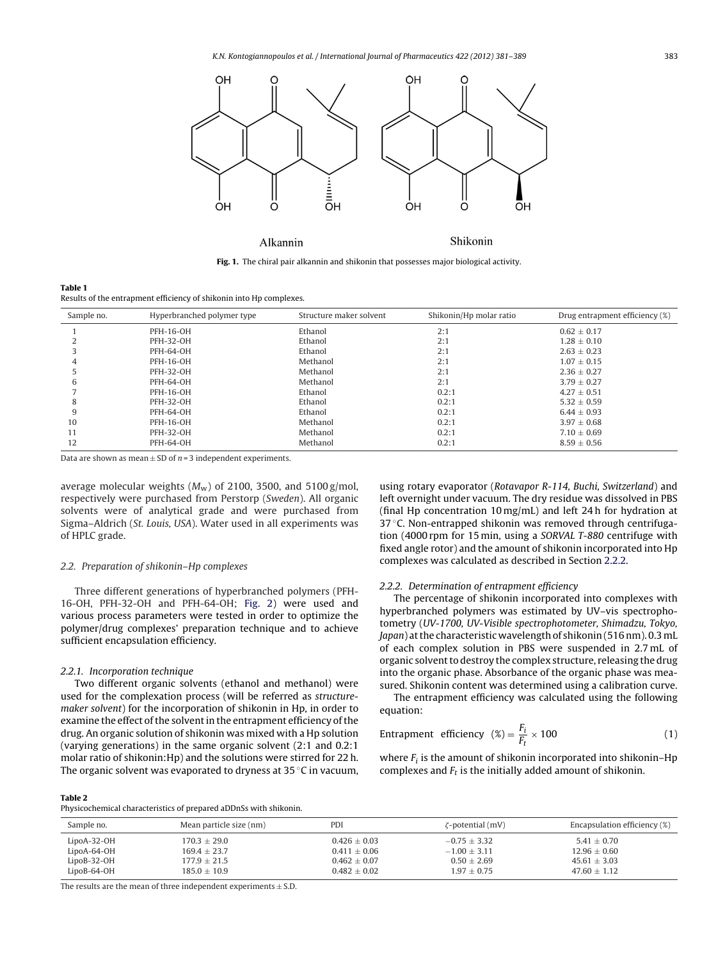<span id="page-2-0"></span>

**Fig. 1.** The chiral pair alkannin and shikonin that possesses major biological activity.

| Table 1                                                             |  |
|---------------------------------------------------------------------|--|
| Results of the entrapment efficiency of shikonin into Hp complexes. |  |

| Sample no. | Hyperbranched polymer type | Structure maker solvent | Shikonin/Hp molar ratio | Drug entrapment efficiency (%) |
|------------|----------------------------|-------------------------|-------------------------|--------------------------------|
|            | PFH-16-OH                  | Ethanol                 | 2:1                     | $0.62 \pm 0.17$                |
|            | <b>PFH-32-OH</b>           | Ethanol                 | 2:1                     | $1.28 \pm 0.10$                |
|            | PFH-64-OH                  | Ethanol                 | 2:1                     | $2.63 + 0.23$                  |
|            | PFH-16-OH                  | Methanol                | 2:1                     | $1.07 + 0.15$                  |
|            | <b>PFH-32-OH</b>           | Methanol                | 2:1                     | $2.36 \pm 0.27$                |
| 6          | <b>PFH-64-OH</b>           | Methanol                | 2:1                     | $3.79 \pm 0.27$                |
|            | PFH-16-OH                  | Ethanol                 | 0.2:1                   | $4.27 + 0.51$                  |
| 8          | <b>PFH-32-OH</b>           | Ethanol                 | 0.2:1                   | $5.32 \pm 0.59$                |
| 9          | PFH-64-OH                  | Ethanol                 | 0.2:1                   | $6.44 \pm 0.93$                |
| 10         | PFH-16-OH                  | Methanol                | 0.2:1                   | $3.97 \pm 0.68$                |
| 11         | <b>PFH-32-OH</b>           | Methanol                | 0.2:1                   | $7.10 \pm 0.69$                |
| 12         | <b>PFH-64-OH</b>           | Methanol                | 0.2:1                   | $8.59 \pm 0.56$                |

Data are shown as mean  $\pm$  SD of  $n = 3$  independent experiments.

average molecular weights  $(M_w)$  of 2100, 3500, and 5100 g/mol, respectively were purchased from Perstorp (Sweden). All organic solvents were of analytical grade and were purchased from Sigma–Aldrich (St. Louis, USA). Water used in all experiments was of HPLC grade.

#### 2.2. Preparation of shikonin–Hp complexes

Three different generations of hyperbranched polymers (PFH-16-OH, PFH-32-OH and PFH-64-OH; [Fig.](#page-3-0) 2) were used and various process parameters were tested in order to optimize the polymer/drug complexes' preparation technique and to achieve sufficient encapsulation efficiency.

#### 2.2.1. Incorporation technique

Two different organic solvents (ethanol and methanol) were used for the complexation process (will be referred as structuremaker solvent) for the incorporation of shikonin in Hp, in order to examine the effect of the solvent in the entrapment efficiency of the drug. An organic solution of shikonin was mixed with a Hp solution (varying generations) in the same organic solvent (2:1 and 0.2:1 molar ratio of shikonin:Hp) and the solutions were stirred for 22 h. The organic solvent was evaporated to dryness at 35 ◦C in vacuum,

#### **Table 2**

Physicochemical characteristics of prepared aDDnSs with shikonin.

| Sample no.    | Mean particle size (nm) | PDI            | $\zeta$ -potential (mV) | Encapsulation efficiency (%) |
|---------------|-------------------------|----------------|-------------------------|------------------------------|
| LipoA-32-OH   | $170.3 \pm 29.0$        | $0.426 + 0.03$ | $-0.75 + 3.32$          | $5.41 + 0.70$                |
| LipoA-64-OH   | $169.4 + 23.7$          | $0.411 + 0.06$ | $-1.00 + 3.11$          | $12.96 + 0.60$               |
| $LipoB-32-OH$ | $177.9 \pm 21.5$        | $0.462 + 0.07$ | $0.50 + 2.69$           | $45.61 + 3.03$               |
| $LipoB-64-OH$ | $185.0 + 10.9$          | $0.482 + 0.02$ | $1.97 \pm 0.75$         | $47.60 + 1.12$               |

The results are the mean of three independent experiments  $\pm$  S.D.

using rotary evaporator (Rotavapor R-114, Buchi, Switzerland) and left overnight under vacuum. The dry residue was dissolved in PBS (final Hp concentration 10 mg/mL) and left 24 h for hydration at 37 °C. Non-entrapped shikonin was removed through centrifugation (4000 rpm for 15 min, using a SORVAL T-880 centrifuge with fixed angle rotor) and the amount of shikonin incorporated into Hp complexes was calculated as described in Section 2.2.2.

#### 2.2.2. Determination of entrapment efficiency

The percentage of shikonin incorporated into complexes with hyperbranched polymers was estimated by UV–vis spectrophotometry (UV-1700, UV-Visible spectrophotometer, Shimadzu, Tokyo, Japan) at the characteristic wavelength of shikonin (516 nm). 0.3 mL of each complex solution in PBS were suspended in 2.7 mL of organic solvent to destroy the complex structure, releasing the drug into the organic phase. Absorbance of the organic phase was measured. Shikonin content was determined using a calibration curve.

The entrapment efficiency was calculated using the following equation:

$$
Entrapment efficiency \quad (\%) = \frac{F_i}{F_t} \times 100 \tag{1}
$$

where  $F_i$  is the amount of shikonin incorporated into shikonin–Hp complexes and  $F_t$  is the initially added amount of shikonin.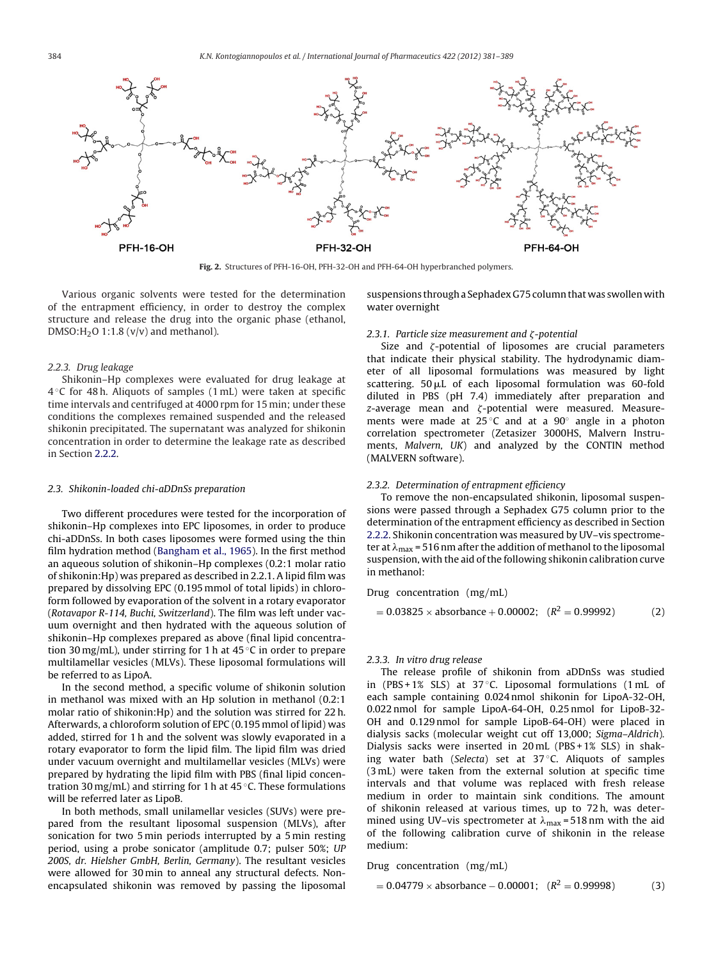<span id="page-3-0"></span>

**Fig. 2.** Structures of PFH-16-OH, PFH-32-OH and PFH-64-OH hyperbranched polymers.

Various organic solvents were tested for the determination of the entrapment efficiency, in order to destroy the complex structure and release the drug into the organic phase (ethanol, DMSO: $H<sub>2</sub>O$  1:1.8 (v/v) and methanol).

#### 2.2.3. Drug leakage

Shikonin–Hp complexes were evaluated for drug leakage at  $4^{\circ}$ C for 48 h. Aliquots of samples (1 mL) were taken at specific time intervals and centrifuged at 4000 rpm for 15 min; under these conditions the complexes remained suspended and the released shikonin precipitated. The supernatant was analyzed for shikonin concentration in order to determine the leakage rate as described in Section [2.2.2.](#page-2-0)

#### 2.3. Shikonin-loaded chi-aDDnSs preparation

Two different procedures were tested for the incorporation of shikonin–Hp complexes into EPC liposomes, in order to produce chi-aDDnSs. In both cases liposomes were formed using the thin film hydration method [\(Bangham](#page-7-0) et [al.,](#page-7-0) [1965\).](#page-7-0) In the first method an aqueous solution of shikonin–Hp complexes (0.2:1 molar ratio of shikonin:Hp) was prepared as described in 2.2.1. A lipid film was prepared by dissolving EPC (0.195 mmol of total lipids) in chloroform followed by evaporation of the solvent in a rotary evaporator (Rotavapor R-114, Buchi, Switzerland). The film was left under vacuum overnight and then hydrated with the aqueous solution of shikonin–Hp complexes prepared as above (final lipid concentration 30 mg/mL), under stirring for 1 h at 45  $\degree$ C in order to prepare multilamellar vesicles (MLVs). These liposomal formulations will be referred to as LipoA.

In the second method, a specific volume of shikonin solution in methanol was mixed with an Hp solution in methanol (0.2:1 molar ratio of shikonin:Hp) and the solution was stirred for 22 h. Afterwards, a chloroform solution of EPC (0.195 mmol of lipid) was added, stirred for 1 h and the solvent was slowly evaporated in a rotary evaporator to form the lipid film. The lipid film was dried under vacuum overnight and multilamellar vesicles (MLVs) were prepared by hydrating the lipid film with PBS (final lipid concentration 30 mg/mL) and stirring for 1 h at 45  $\degree$ C. These formulations will be referred later as LipoB.

In both methods, small unilamellar vesicles (SUVs) were prepared from the resultant liposomal suspension (MLVs), after sonication for two 5 min periods interrupted by a 5 min resting period, using a probe sonicator (amplitude 0.7; pulser 50%; UP 200S, dr. Hielsher GmbH, Berlin, Germany). The resultant vesicles were allowed for 30 min to anneal any structural defects. Nonencapsulated shikonin was removed by passing the liposomal

suspensions through a Sephadex G75 column that was swollen with water overnight

#### 2.3.1. Particle size measurement and  $\zeta$ -potential

Size and  $\zeta$ -potential of liposomes are crucial parameters that indicate their physical stability. The hydrodynamic diameter of all liposomal formulations was measured by light scattering.  $50 \mu L$  of each liposomal formulation was 60-fold diluted in PBS (pH 7.4) immediately after preparation and  $z$ -average mean and  $\zeta$ -potential were measured. Measurements were made at  $25^{\circ}$ C and at a 90 $^{\circ}$  angle in a photon correlation spectrometer (Zetasizer 3000HS, Malvern Instruments, Malvern, UK) and analyzed by the CONTIN method (MALVERN software).

#### 2.3.2. Determination of entrapment efficiency

To remove the non-encapsulated shikonin, liposomal suspensions were passed through a Sephadex G75 column prior to the determination of the entrapment efficiency as described in Section [2.2.2.](#page-2-0) Shikonin concentration was measured by UV–vis spectrometer at  $\lambda_{\text{max}}$  = 516 nm after the addition of methanol to the liposomal suspension, with the aid of the following shikonin calibration curve in methanol:

Drug concentration (mg/mL)

$$
= 0.03825 \times \text{absorbance} + 0.00002; \quad (R^2 = 0.99992) \tag{2}
$$

#### 2.3.3. In vitro drug release

The release profile of shikonin from aDDnSs was studied in (PBS + 1% SLS) at 37 ◦C. Liposomal formulations (1 mL of each sample containing 0.024 nmol shikonin for LipoA-32-OH, 0.022 nmol for sample LipoA-64-OH, 0.25 nmol for LipoB-32- OH and 0.129 nmol for sample LipoB-64-OH) were placed in dialysis sacks (molecular weight cut off 13,000; Sigma–Aldrich). Dialysis sacks were inserted in 20 mL (PBS + 1% SLS) in shaking water bath (Selecta) set at  $37^{\circ}$ C. Aliquots of samples (3 mL) were taken from the external solution at specific time intervals and that volume was replaced with fresh release medium in order to maintain sink conditions. The amount of shikonin released at various times, up to 72 h, was determined using UV–vis spectrometer at  $\lambda_{\text{max}}$  = 518 nm with the aid of the following calibration curve of shikonin in the release medium:

Drug concentration (mg/mL)

$$
= 0.04779 \times \text{absorbance} - 0.00001; \quad (R^2 = 0.99998)
$$
 (3)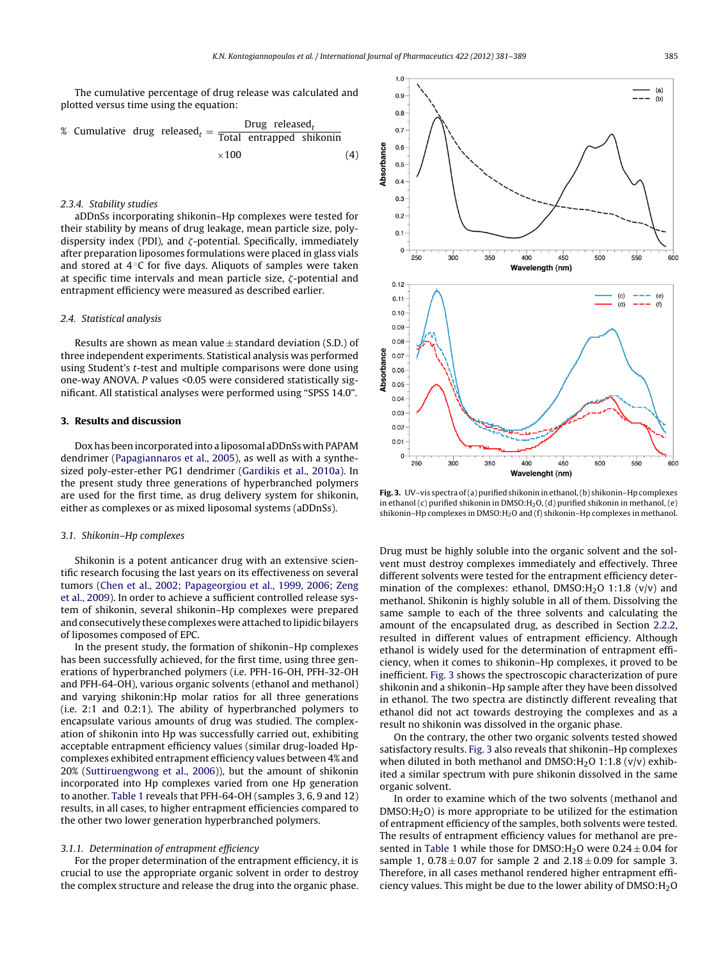The cumulative percentage of drug release was calculated and plotted versus time using the equation:

% Cumulative drug released<sub>t</sub> = 
$$
\frac{\text{Drug released}_t}{\text{Total entrapped shikonin}} \times 100 \tag{4}
$$

# 2.3.4. Stability studies

aDDnSs incorporating shikonin–Hp complexes were tested for their stability by means of drug leakage, mean particle size, polydispersity index (PDI), and  $\zeta$ -potential. Specifically, immediately after preparation liposomes formulations were placed in glass vials and stored at  $4^\circ$ C for five days. Aliquots of samples were taken at specific time intervals and mean particle size,  $\zeta$ -potential and entrapment efficiency were measured as described earlier.

#### 2.4. Statistical analysis

Results are shown as mean value  $\pm$  standard deviation (S.D.) of three independent experiments. Statistical analysis was performed using Student's t-test and multiple comparisons were done using one-way ANOVA. P values <0.05 were considered statistically significant. All statistical analyses were performed using "SPSS 14.0".

#### **3. Results and discussion**

Dox has been incorporated into a liposomal aDDnSs with PAPAM dendrimer [\(Papagiannaros](#page-8-0) et [al.,](#page-8-0) [2005\),](#page-8-0) as well as with a synthesized poly-ester-ether PG1 dendrimer [\(Gardikis](#page-7-0) et [al.,](#page-7-0) [2010a\).](#page-7-0) In the present study three generations of hyperbranched polymers are used for the first time, as drug delivery system for shikonin, either as complexes or as mixed liposomal systems (aDDnSs).

#### 3.1. Shikonin–Hp complexes

Shikonin is a potent anticancer drug with an extensive scientific research focusing the last years on its effectiveness on several tumors [\(Chen](#page-7-0) et [al.,](#page-7-0) [2002;](#page-7-0) [Papageorgiou](#page-7-0) et [al.,](#page-7-0) [1999,](#page-7-0) [2006;](#page-7-0) [Zeng](#page-7-0) et [al.,](#page-7-0) [2009\).](#page-7-0) In order to achieve a sufficient controlled release system of shikonin, several shikonin–Hp complexes were prepared and consecutively these complexes were attached to lipidic bilayers of liposomes composed of EPC.

In the present study, the formation of shikonin–Hp complexes has been successfully achieved, for the first time, using three generations of hyperbranched polymers (i.e. PFH-16-OH, PFH-32-OH and PFH-64-OH), various organic solvents (ethanol and methanol) and varying shikonin:Hp molar ratios for all three generations (i.e. 2:1 and 0.2:1). The ability of hyperbranched polymers to encapsulate various amounts of drug was studied. The complexation of shikonin into Hp was successfully carried out, exhibiting acceptable entrapment efficiency values (similar drug-loaded Hpcomplexes exhibited entrapment efficiency values between 4% and 20% [\(Suttiruengwong](#page-8-0) et [al.,](#page-8-0) [2006\)\)](#page-8-0), but the amount of shikonin incorporated into Hp complexes varied from one Hp generation to another. [Table](#page-2-0) 1 reveals that PFH-64-OH (samples 3, 6, 9 and 12) results, in all cases, to higher entrapment efficiencies compared to the other two lower generation hyperbranched polymers.

# 3.1.1. Determination of entrapment efficiency

For the proper determination of the entrapment efficiency, it is crucial to use the appropriate organic solvent in order to destroy the complex structure and release the drug into the organic phase.



**Fig. 3.** UV–vis spectra of(a) purified shikonin in ethanol,(b) shikonin–Hp complexes in ethanol (c) purified shikonin in DMSO: $H_2O$ , (d) purified shikonin in methanol, (e) shikonin–Hp complexes in DMSO: $H_2O$  and (f) shikonin–Hp complexes in methanol.

Drug must be highly soluble into the organic solvent and the solvent must destroy complexes immediately and effectively. Three different solvents were tested for the entrapment efficiency determination of the complexes: ethanol,  $DMSO:H<sub>2</sub>O$  1:1.8 (v/v) and methanol. Shikonin is highly soluble in all of them. Dissolving the same sample to each of the three solvents and calculating the amount of the encapsulated drug, as described in Section [2.2.2,](#page-2-0) resulted in different values of entrapment efficiency. Although ethanol is widely used for the determination of entrapment efficiency, when it comes to shikonin–Hp complexes, it proved to be inefficient. Fig. 3 shows the spectroscopic characterization of pure shikonin and a shikonin–Hp sample after they have been dissolved in ethanol. The two spectra are distinctly different revealing that ethanol did not act towards destroying the complexes and as a result no shikonin was dissolved in the organic phase.

On the contrary, the other two organic solvents tested showed satisfactory results. Fig. 3 also reveals that shikonin–Hp complexes when diluted in both methanol and  $DMSO:H_2O$  1:1.8 (v/v) exhibited a similar spectrum with pure shikonin dissolved in the same organic solvent.

In order to examine which of the two solvents (methanol and  $DMSO:H<sub>2</sub>O$ ) is more appropriate to be utilized for the estimation of entrapment efficiency of the samples, both solvents were tested. The results of entrapment efficiency values for methanol are pre-sented in [Table](#page-2-0) 1 while those for DMSO: $H_2O$  were  $0.24 \pm 0.04$  for sample 1,  $0.78 \pm 0.07$  for sample 2 and  $2.18 \pm 0.09$  for sample 3. Therefore, in all cases methanol rendered higher entrapment efficiency values. This might be due to the lower ability of  $\text{DMSO:}\mathrm{H}_2\text{O}$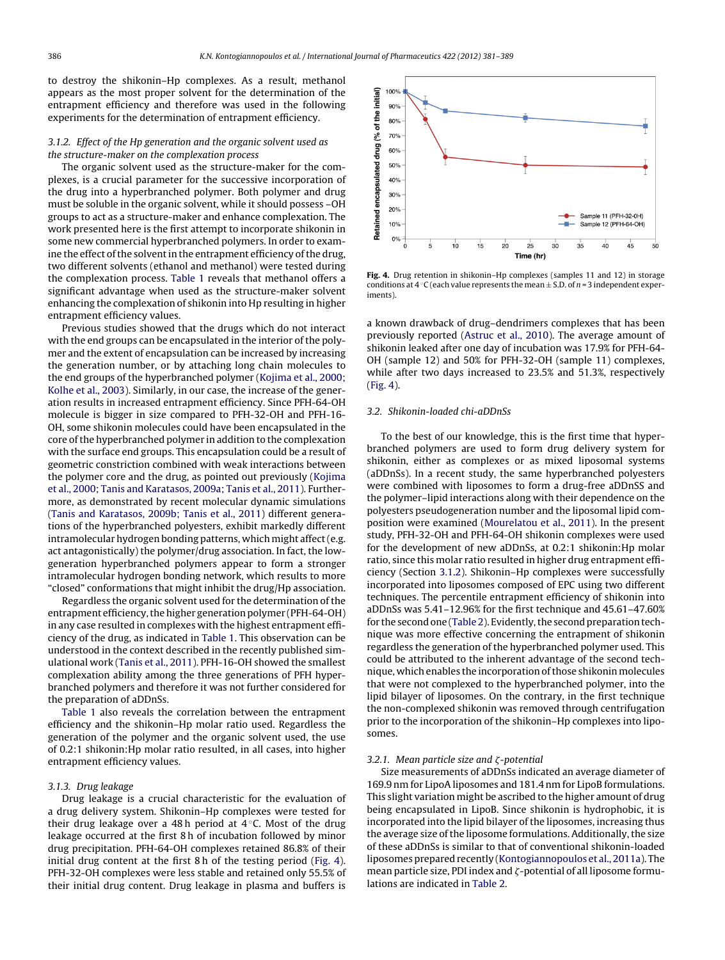to destroy the shikonin–Hp complexes. As a result, methanol appears as the most proper solvent for the determination of the entrapment efficiency and therefore was used in the following experiments for the determination of entrapment efficiency.

# 3.1.2. Effect of the Hp generation and the organic solvent used as the structure-maker on the complexation process

The organic solvent used as the structure-maker for the complexes, is a crucial parameter for the successive incorporation of the drug into a hyperbranched polymer. Both polymer and drug must be soluble in the organic solvent, while it should possess –OH groups to act as a structure-maker and enhance complexation. The work presented here is the first attempt to incorporate shikonin in some new commercial hyperbranched polymers. In order to examine the effect of the solvent in the entrapment efficiency of the drug, two different solvents (ethanol and methanol) were tested during the complexation process. [Table](#page-2-0) 1 reveals that methanol offers a significant advantage when used as the structure-maker solvent enhancing the complexation of shikonin into Hp resulting in higher entrapment efficiency values.

Previous studies showed that the drugs which do not interact with the end groups can be encapsulated in the interior of the polymer and the extent of encapsulation can be increased by increasing the generation number, or by attaching long chain molecules to the end groups of the hyperbranched polymer ([Kojima](#page-7-0) et [al.,](#page-7-0) [2000;](#page-7-0) [Kolhe](#page-7-0) et [al.,](#page-7-0) [2003\).](#page-7-0) Similarly, in our case, the increase of the generation results in increased entrapment efficiency. Since PFH-64-OH molecule is bigger in size compared to PFH-32-OH and PFH-16- OH, some shikonin molecules could have been encapsulated in the core ofthe hyperbranched polymer in addition to the complexation with the surface end groups. This encapsulation could be a result of geometric constriction combined with weak interactions between the polymer core and the drug, as pointed out previously [\(Kojima](#page-7-0) et [al.,](#page-7-0) [2000;](#page-7-0) [Tanis](#page-7-0) [and](#page-7-0) [Karatasos,](#page-7-0) [2009a;](#page-7-0) [Tanis](#page-7-0) et [al.,](#page-7-0) [2011\).](#page-7-0) Furthermore, as demonstrated by recent molecular dynamic simulations ([Tanis](#page-8-0) [and](#page-8-0) [Karatasos,](#page-8-0) [2009b;](#page-8-0) [Tanis](#page-8-0) [et](#page-8-0) [al.,](#page-8-0) [2011\)](#page-8-0) different generations of the hyperbranched polyesters, exhibit markedly different intramolecular hydrogen bonding patterns, which might affect(e.g. act antagonistically) the polymer/drug association. In fact, the lowgeneration hyperbranched polymers appear to form a stronger intramolecular hydrogen bonding network, which results to more "closed" conformations that might inhibit the drug/Hp association.

Regardless the organic solvent used for the determination of the entrapment efficiency, the higher generation polymer (PFH-64-OH) in any case resulted in complexes with the highest entrapment efficiency of the drug, as indicated in [Table](#page-2-0) 1. This observation can be understood in the context described in the recently published simulational work ([Tanis](#page-8-0) [et](#page-8-0) [al.,](#page-8-0) [2011\).](#page-8-0) PFH-16-OH showed the smallest complexation ability among the three generations of PFH hyperbranched polymers and therefore it was not further considered for the preparation of aDDnSs.

[Table](#page-2-0) 1 also reveals the correlation between the entrapment efficiency and the shikonin–Hp molar ratio used. Regardless the generation of the polymer and the organic solvent used, the use of 0.2:1 shikonin:Hp molar ratio resulted, in all cases, into higher entrapment efficiency values.

#### 3.1.3. Drug leakage

Drug leakage is a crucial characteristic for the evaluation of a drug delivery system. Shikonin–Hp complexes were tested for their drug leakage over a 48 h period at  $4^\circ$ C. Most of the drug leakage occurred at the first 8 h of incubation followed by minor drug precipitation. PFH-64-OH complexes retained 86.8% of their initial drug content at the first 8 h of the testing period (Fig. 4). PFH-32-OH complexes were less stable and retained only 55.5% of their initial drug content. Drug leakage in plasma and buffers is



**Fig. 4.** Drug retention in shikonin–Hp complexes (samples 11 and 12) in storage conditions at  $4 °C$  (each value represents the mean  $\pm$  S.D. of  $n = 3$  independent experiments).

a known drawback of drug–dendrimers complexes that has been previously reported ([Astruc](#page-7-0) et [al.,](#page-7-0) [2010\).](#page-7-0) The average amount of shikonin leaked after one day of incubation was 17.9% for PFH-64- OH (sample 12) and 50% for PFH-32-OH (sample 11) complexes, while after two days increased to 23.5% and 51.3%, respectively (Fig. 4).

#### 3.2. Shikonin-loaded chi-aDDnSs

To the best of our knowledge, this is the first time that hyperbranched polymers are used to form drug delivery system for shikonin, either as complexes or as mixed liposomal systems (aDDnSs). In a recent study, the same hyperbranched polyesters were combined with liposomes to form a drug-free aDDnSS and the polymer–lipid interactions along with their dependence on the polyesters pseudogeneration number and the liposomal lipid composition were examined ([Mourelatou](#page-8-0) et [al.,](#page-8-0) [2011\).](#page-8-0) In the present study, PFH-32-OH and PFH-64-OH shikonin complexes were used for the development of new aDDnSs, at 0.2:1 shikonin:Hp molar ratio, since this molar ratio resulted in higher drug entrapment efficiency (Section 3.1.2). Shikonin–Hp complexes were successfully incorporated into liposomes composed of EPC using two different techniques. The percentile entrapment efficiency of shikonin into aDDnSs was 5.41–12.96% for the first technique and 45.61–47.60% for the second one [\(Table](#page-2-0) 2). Evidently, the second preparation technique was more effective concerning the entrapment of shikonin regardless the generation of the hyperbranched polymer used. This could be attributed to the inherent advantage of the second technique, which enables the incorporation ofthose shikonin molecules that were not complexed to the hyperbranched polymer, into the lipid bilayer of liposomes. On the contrary, in the first technique the non-complexed shikonin was removed through centrifugation prior to the incorporation of the shikonin–Hp complexes into liposomes.

#### 3.2.1. Mean particle size and  $\zeta$ -potential

Size measurements of aDDnSs indicated an average diameter of 169.9 nm for LipoA liposomes and 181.4 nm for LipoB formulations. This slight variation might be ascribed to the higher amount of drug being encapsulated in LipoB. Since shikonin is hydrophobic, it is incorporated into the lipid bilayer of the liposomes, increasing thus the average size of the liposome formulations. Additionally, the size of these aDDnSs is similar to that of conventional shikonin-loaded liposomes prepared recently ([Kontogiannopoulos](#page-7-0) et [al.,](#page-7-0) [2011a\).](#page-7-0) The mean particle size, PDI index and  $\zeta$ -potential of all liposome formulations are indicated in [Table](#page-2-0) 2.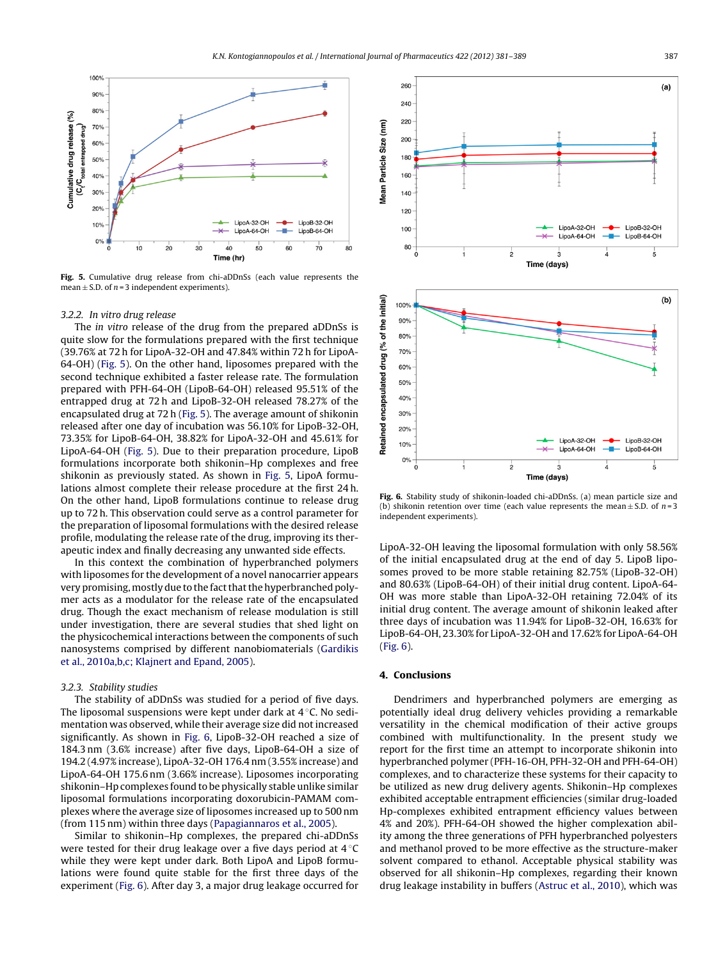

**Fig. 5.** Cumulative drug release from chi-aDDnSs (each value represents the mean  $\pm$  S.D. of n = 3 independent experiments).

#### 3.2.2. In vitro drug release

The in vitro release of the drug from the prepared aDDnSs is quite slow for the formulations prepared with the first technique (39.76% at 72 h for LipoA-32-OH and 47.84% within 72 h for LipoA-64-OH) (Fig. 5). On the other hand, liposomes prepared with the second technique exhibited a faster release rate. The formulation prepared with PFH-64-OH (LipoB-64-OH) released 95.51% of the entrapped drug at 72 h and LipoB-32-OH released 78.27% of the encapsulated drug at 72 h (Fig. 5). The average amount of shikonin released after one day of incubation was 56.10% for LipoB-32-OH, 73.35% for LipoB-64-OH, 38.82% for LipoA-32-OH and 45.61% for LipoA-64-OH (Fig. 5). Due to their preparation procedure, LipoB formulations incorporate both shikonin–Hp complexes and free shikonin as previously stated. As shown in Fig. 5, LipoA formulations almost complete their release procedure at the first 24 h. On the other hand, LipoB formulations continue to release drug up to 72 h. This observation could serve as a control parameter for the preparation of liposomal formulations with the desired release profile, modulating the release rate of the drug, improving its therapeutic index and finally decreasing any unwanted side effects.

In this context the combination of hyperbranched polymers with liposomes for the development of a novel nanocarrier appears very promising, mostly due to the fact that the hyperbranched polymer acts as a modulator for the release rate of the encapsulated drug. Though the exact mechanism of release modulation is still under investigation, there are several studies that shed light on the physicochemical interactions between the components of such nanosystems comprised by different nanobiomaterials ([Gardikis](#page-7-0) et [al.,](#page-7-0) [2010a,b,c;](#page-7-0) [Klajnert](#page-7-0) [and](#page-7-0) [Epand,](#page-7-0) [2005\).](#page-7-0)

#### 3.2.3. Stability studies

The stability of aDDnSs was studied for a period of five days. The liposomal suspensions were kept under dark at 4 ◦C. No sedimentation was observed, while their average size did not increased significantly. As shown in Fig. 6, LipoB-32-OH reached a size of 184.3 nm (3.6% increase) after five days, LipoB-64-OH a size of 194.2 (4.97% increase), LipoA-32-OH 176.4 nm (3.55% increase) and LipoA-64-OH 175.6 nm (3.66% increase). Liposomes incorporating shikonin–Hp complexes found to be physically stable unlike similar liposomal formulations incorporating doxorubicin-PAMAM complexes where the average size of liposomes increased up to 500 nm (from 115 nm) within three days [\(Papagiannaros](#page-8-0) et [al.,](#page-8-0) [2005\).](#page-8-0)

Similar to shikonin–Hp complexes, the prepared chi-aDDnSs were tested for their drug leakage over a five days period at 4 ℃ while they were kept under dark. Both LipoA and LipoB formulations were found quite stable for the first three days of the experiment (Fig. 6). After day 3, a major drug leakage occurred for



**Fig. 6.** Stability study of shikonin-loaded chi-aDDnSs. (a) mean particle size and (b) shikonin retention over time (each value represents the mean  $\pm$  S.D. of n=3 independent experiments).

LipoA-32-OH leaving the liposomal formulation with only 58.56% of the initial encapsulated drug at the end of day 5. LipoB liposomes proved to be more stable retaining 82.75% (LipoB-32-OH) and 80.63% (LipoB-64-OH) of their initial drug content. LipoA-64- OH was more stable than LipoA-32-OH retaining 72.04% of its initial drug content. The average amount of shikonin leaked after three days of incubation was 11.94% for LipoB-32-OH, 16.63% for LipoB-64-OH, 23.30% for LipoA-32-OH and 17.62% for LipoA-64-OH (Fig. 6).

# **4. Conclusions**

Dendrimers and hyperbranched polymers are emerging as potentially ideal drug delivery vehicles providing a remarkable versatility in the chemical modification of their active groups combined with multifunctionality. In the present study we report for the first time an attempt to incorporate shikonin into hyperbranched polymer (PFH-16-OH, PFH-32-OH and PFH-64-OH) complexes, and to characterize these systems for their capacity to be utilized as new drug delivery agents. Shikonin–Hp complexes exhibited acceptable entrapment efficiencies (similar drug-loaded Hp-complexes exhibited entrapment efficiency values between 4% and 20%). PFH-64-OH showed the higher complexation ability among the three generations of PFH hyperbranched polyesters and methanol proved to be more effective as the structure-maker solvent compared to ethanol. Acceptable physical stability was observed for all shikonin–Hp complexes, regarding their known drug leakage instability in buffers [\(Astruc](#page-7-0) et [al.,](#page-7-0) [2010\),](#page-7-0) which was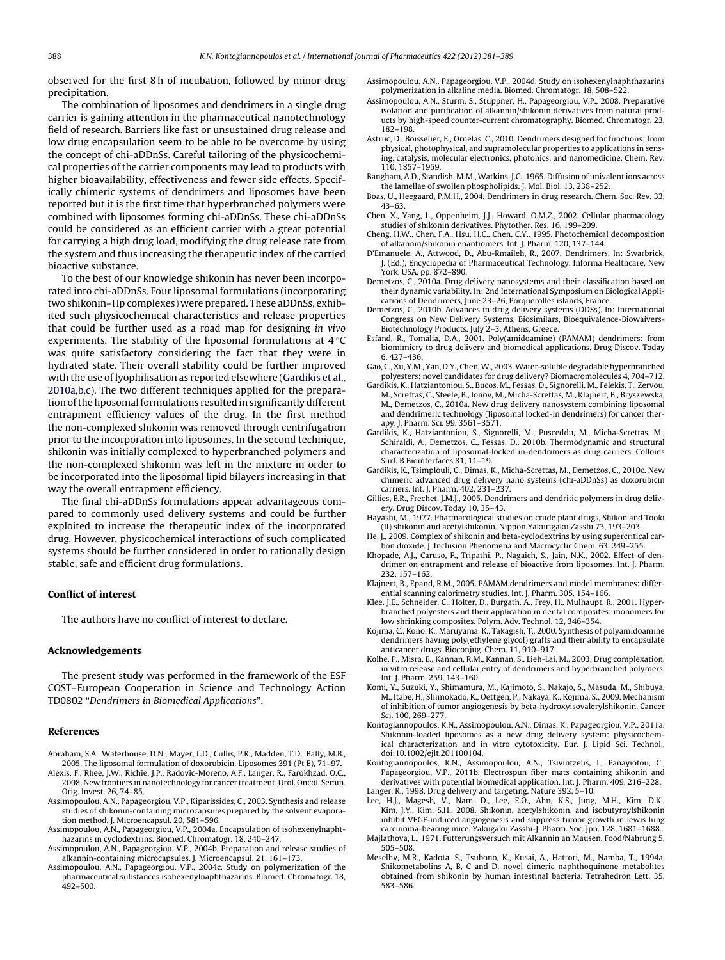<span id="page-7-0"></span>observed for the first 8 h of incubation, followed by minor drug precipitation.

The combination of liposomes and dendrimers in a single drug carrier is gaining attention in the pharmaceutical nanotechnology field of research. Barriers like fast or unsustained drug release and low drug encapsulation seem to be able to be overcome by using the concept of chi-aDDnSs. Careful tailoring of the physicochemical properties of the carrier components may lead to products with higher bioavailability, effectiveness and fewer side effects. Specifically chimeric systems of dendrimers and liposomes have been reported but it is the first time that hyperbranched polymers were combined with liposomes forming chi-aDDnSs. These chi-aDDnSs could be considered as an efficient carrier with a great potential for carrying a high drug load, modifying the drug release rate from the system and thus increasing the therapeutic index of the carried bioactive substance.

To the best of our knowledge shikonin has never been incorporated into chi-aDDnSs. Four liposomal formulations (incorporating two shikonin–Hp complexes) were prepared. These aDDnSs, exhibited such physicochemical characteristics and release properties that could be further used as a road map for designing in vivo experiments. The stability of the liposomal formulations at  $4^\circ\text{C}$ was quite satisfactory considering the fact that they were in hydrated state. Their overall stability could be further improved with the use of lyophilisation as reported elsewhere (Gardikis et al., 2010a,b,c). The two different techniques applied for the preparation of the liposomal formulations resulted in significantly different entrapment efficiency values of the drug. In the first method the non-complexed shikonin was removed through centrifugation prior to the incorporation into liposomes. In the second technique, shikonin was initially complexed to hyperbranched polymers and the non-complexed shikonin was left in the mixture in order to be incorporated into the liposomal lipid bilayers increasing in that way the overall entrapment efficiency.

The final chi-aDDnSs formulations appear advantageous compared to commonly used delivery systems and could be further exploited to increase the therapeutic index of the incorporated drug. However, physicochemical interactions of such complicated systems should be further considered in order to rationally design stable, safe and efficient drug formulations.

#### **Conflict of interest**

The authors have no conflict of interest to declare.

#### **Acknowledgements**

The present study was performed in the framework of the ESF COST–European Cooperation in Science and Technology Action TD0802 "Dendrimers in Biomedical Applications".

#### **References**

- Abraham, S.A., Waterhouse, D.N., Mayer, L.D., Cullis, P.R., Madden, T.D., Bally, M.B., 2005. The liposomal formulation of doxorubicin. Liposomes 391 (Pt E), 71–97.
- Alexis, F., Rhee, J.W., Richie, J.P., Radovic-Moreno, A.F., Langer, R., Farokhzad, O.C., 2008. New frontiers in nanotechnology for cancer treatment. Urol. Oncol. Semin. Orig. Invest. 26, 74–85.
- Assimopoulou, A.N., Papageorgiou, V.P., Kiparissides, C., 2003. Synthesis and release studies of shikonin-containing microcapsules prepared by the solvent evaporation method. J. Microencapsul. 20, 581–596.
- Assimopoulou, A.N., Papageorgiou, V.P., 2004a. Encapsulation of isohexenylnaphthazarins in cyclodextrins. Biomed. Chromatogr. 18, 240–247.
- Assimopoulou, A.N., Papageorgiou, V.P., 2004b. Preparation and release studies of alkannin-containing microcapsules. J. Microencapsul. 21, 161–173.
- Assimopoulou, A.N., Papageorgiou, V.P., 2004c. Study on polymerization of the pharmaceutical substances isohexenylnaphthazarins. Biomed. Chromatogr. 18, 492–500.
- Assimopoulou, A.N., Papageorgiou, V.P., 2004d. Study on isohexenylnaphthazarins polymerization in alkaline media. Biomed. Chromatogr. 18, 508–522.
- Assimopoulou, A.N., Sturm, S., Stuppner, H., Papageorgiou, V.P., 2008. Preparative isolation and purification of alkannin/shikonin derivatives from natural products by high-speed counter-current chromatography. Biomed. Chromatogr. 23, 182–198.
- Astruc, D., Boisselier, E., Ornelas, C., 2010. Dendrimers designed for functions: from physical, photophysical, and supramolecular properties to applications in sensing, catalysis, molecular electronics, photonics, and nanomedicine. Chem. Rev. 110, 1857–1959.
- Bangham, A.D., Standish, M.M., Watkins, J.C., 1965. Diffusion of univalentions across the lamellae of swollen phospholipids. J. Mol. Biol. 13, 238–252.
- Boas, U., Heegaard, P.M.H., 2004. Dendrimers in drug research. Chem. Soc. Rev. 33, 43–63.
- Chen, X., Yang, L., Oppenheim, J.J., Howard, O.M.Z., 2002. Cellular pharmacology studies of shikonin derivatives. Phytother. Res. 16, 199–209.
- Cheng, H.W., Chen, F.A., Hsu, H.C., Chen, C.Y., 1995. Photochemical decomposition of alkannin/shikonin enantiomers. Int. J. Pharm. 120, 137–144.
- D'Emanuele, A., Attwood, D., Abu-Rmaileh, R., 2007. Dendrimers. In: Swarbrick, J. (Ed.), Encyclopedia of Pharmaceutical Technology. Informa Healthcare, New York, USA, pp. 872–890.
- Demetzos, C., 2010a. Drug delivery nanosystems and their classification based on their dynamic variability. In: 2nd International Symposium on Biological Applications of Dendrimers, June 23–26, Porquerolles islands, France.
- Demetzos, C., 2010b. Advances in drug delivery systems (DDSs). In: International Congress on New Delivery Systems, Biosimilars, Bioequivalence-Biowaivers-Biotechnology Products, July 2–3, Athens, Greece.
- Esfand, R., Tomalia, D.A., 2001. Poly(amidoamine) (PAMAM) dendrimers: from biomimicry to drug delivery and biomedical applications. Drug Discov. Today 6, 427–436.
- Gao, C.,Xu, Y.M., Yan, D.Y., Chen,W., 2003.Water-soluble degradable hyperbranched polyesters: novel candidates for drug delivery? Biomacromolecules 4, 704–712.
- Gardikis, K., Hatziantoniou, S., Bucos, M., Fessas, D., Signorelli, M., Felekis, T., Zervou, M., Screttas, C., Steele, B., Ionov, M., Micha-Screttas, M., Klajnert, B., Bryszewska, M., Demetzos, C., 2010a. New drug delivery nanosystem combining liposomal and dendrimeric technology (liposomal locked-in dendrimers) for cancer therapy. J. Pharm. Sci. 99, 3561–3571.
- Gardikis, K., Hatziantoniou, S., Signorelli, M., Pusceddu, M., Micha-Screttas, M., Schiraldi, A., Demetzos, C., Fessas, D., 2010b. Thermodynamic and structural characterization of liposomal-locked in-dendrimers as drug carriers. Colloids Surf. B Biointerfaces 81, 11–19.
- Gardikis, K., Tsimplouli, C., Dimas, K., Micha-Screttas, M., Demetzos, C., 2010c. New chimeric advanced drug delivery nano systems (chi-aDDnSs) as doxorubicin carriers. Int. J. Pharm. 402, 231-237.
- Gillies, E.R., Frechet, J.M.J., 2005. Dendrimers and dendritic polymers in drug delivery. Drug Discov. Today 10, 35–43.
- Hayashi, M., 1977. Pharmacological studies on crude plant drugs, Shikon and Tooki (II) shikonin and acetylshikonin. Nippon Yakurigaku Zasshi 73, 193–203.
- He, J., 2009. Complex of shikonin and beta-cyclodextrins by using supercritical carbon dioxide. J. Inclusion Phenomena and Macrocyclic Chem. 63, 249–255.
- Khopade, A.J., Caruso, F., Tripathi, P., Nagaich, S., Jain, N.K., 2002. Effect of dendrimer on entrapment and release of bioactive from liposomes. Int. J. Pharm. 232, 157–162.
- Klajnert, B., Epand, R.M., 2005. PAMAM dendrimers and model membranes: differential scanning calorimetry studies. Int. J. Pharm. 305, 154–166.
- Klee, J.E., Schneider, C., Holter, D., Burgath, A., Frey, H., Mulhaupt, R., 2001. Hyperbranched polyesters and their application in dental composites: monomers for low shrinking composites. Polym. Adv. Technol. 12, 346–354.
- Kojima, C., Kono, K., Maruyama, K., Takagish, T., 2000. Synthesis of polyamidoamine dendrimers having poly(ethylene glycol) grafts and their ability to encapsulate anticancer drugs. Bioconjug. Chem. 11, 910–917.
- Kolhe, P., Misra, E., Kannan, R.M., Kannan, S., Lieh-Lai, M., 2003. Drug complexation, in vitro release and cellular entry of dendrimers and hyperbranched polymers. Int. J. Pharm. 259, 143–160.
- Komi, Y., Suzuki, Y., Shimamura, M., Kajimoto, S., Nakajo, S., Masuda, M., Shibuya, M., Itabe, H., Shimokado, K., Oettgen, P., Nakaya, K., Kojima, S., 2009. Mechanism of inhibition of tumor angiogenesis by beta-hydroxyisovalerylshikonin. Cancer Sci. 100, 269–277.
- Kontogiannopoulos, K.N., Assimopoulou, A.N., Dimas, K., Papageorgiou, V.P., 2011a. Shikonin-loaded liposomes as a new drug delivery system: physicochemical characterization and in vitro cytotoxicity. Eur. J. Lipid Sci. Technol., doi:10.1002/ejlt.201100104.
- Kontogiannopoulos, K.N., Assimopoulou, A.N., Tsivintzelis, I., Panayiotou, C., Papageorgiou, V.P., 2011b. Electrospun fiber mats containing shikonin and derivatives with potential biomedical application. Int. J. Pharm. 409, 216–228.
- Langer, R., 1998. Drug delivery and targeting. Nature 392, 5–10.
- Lee, H.J., Magesh, V., Nam, D., Lee, E.O., Ahn, K.S., Jung, M.H., Kim, D.K., Kim, J.Y., Kim, S.H., 2008. Shikonin, acetylshikonin, and isobutyroylshikonin inhibit VEGF-induced angiogenesis and suppress tumor growth in lewis lung carcinoma-bearing mice. Yakugaku Zasshi-J. Pharm. Soc. Jpn. 128, 1681–1688.
- Majlathova, L., 1971. Futterungsversuch mit Alkannin an Mausen. Food/Nahrung 5, 505–508.
- Meselhy, M.R., Kadota, S., Tsubono, K., Kusai, A., Hattori, M., Namba, T., 1994a. Shikometabolins A, B, C and D, novel dimeric naphthoquinone metabolites obtained from shikonin by human intestinal bacteria. Tetrahedron Lett. 35, 583–586.